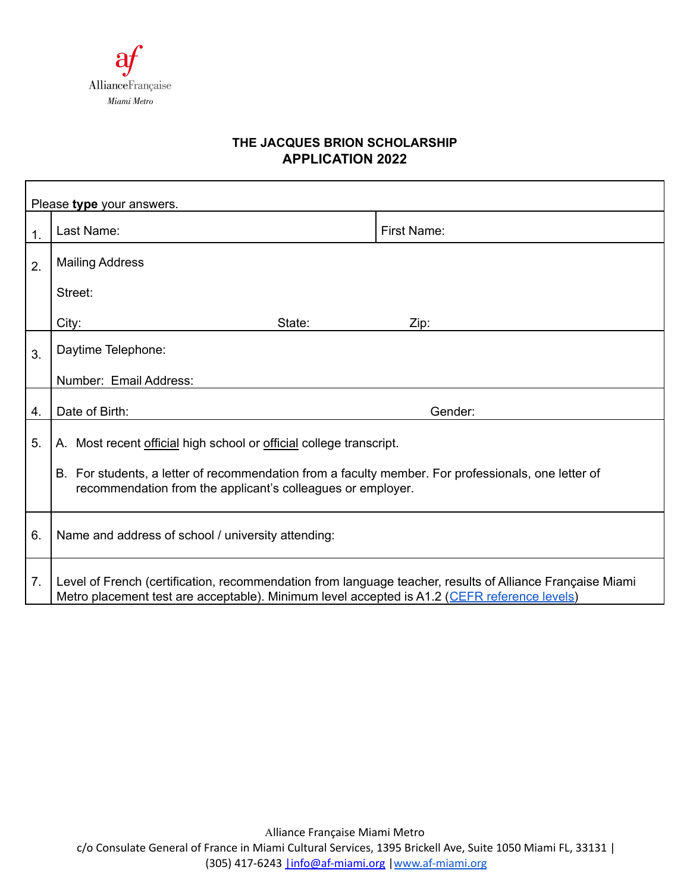

## **THE JACQUES BRION SCHOLARSHIP APPLICATION 2022**

| Please type your answers. |                                                                                                                                                                                                           |             |
|---------------------------|-----------------------------------------------------------------------------------------------------------------------------------------------------------------------------------------------------------|-------------|
| $\mathbf 1$ .             | Last Name:                                                                                                                                                                                                | First Name: |
| 2.                        | <b>Mailing Address</b>                                                                                                                                                                                    |             |
|                           | Street:                                                                                                                                                                                                   |             |
|                           | City:<br>State:                                                                                                                                                                                           | Zip:        |
| 3.                        | Daytime Telephone:                                                                                                                                                                                        |             |
|                           | Number: Email Address:                                                                                                                                                                                    |             |
| 4.                        | Date of Birth:                                                                                                                                                                                            | Gender:     |
| 5.                        | A. Most recent official high school or official college transcript.                                                                                                                                       |             |
|                           | B. For students, a letter of recommendation from a faculty member. For professionals, one letter of<br>recommendation from the applicant's colleagues or employer.                                        |             |
| 6.                        | Name and address of school / university attending:                                                                                                                                                        |             |
| 7 <sub>1</sub>            | Level of French (certification, recommendation from language teacher, results of Alliance Française Miami<br>Metro placement test are acceptable). Minimum level accepted is A1.2 (CEFR reference levels) |             |